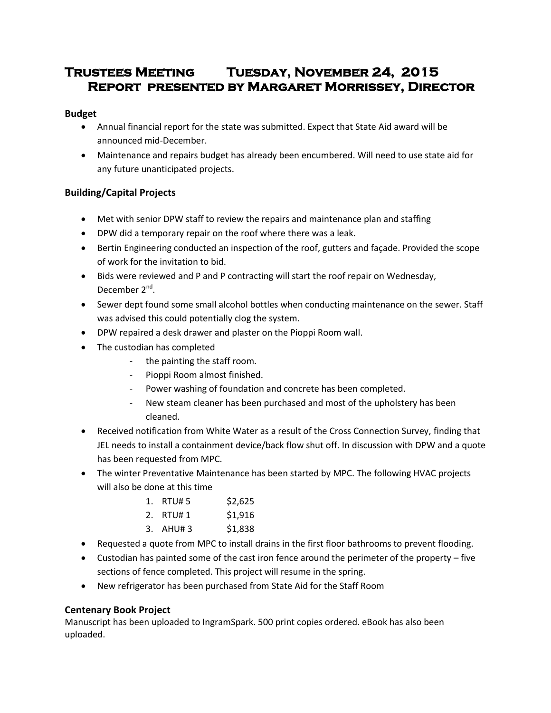# **Trustees Meeting Tuesday, November 24, 2015 Report presented by Margaret Morrissey, Director**

# **Budget**

- Annual financial report for the state was submitted. Expect that State Aid award will be announced mid-December.
- Maintenance and repairs budget has already been encumbered. Will need to use state aid for any future unanticipated projects.

# **Building/Capital Projects**

- Met with senior DPW staff to review the repairs and maintenance plan and staffing
- DPW did a temporary repair on the roof where there was a leak.
- Bertin Engineering conducted an inspection of the roof, gutters and façade. Provided the scope of work for the invitation to bid.
- Bids were reviewed and P and P contracting will start the roof repair on Wednesday, December 2<sup>nd</sup>.
- Sewer dept found some small alcohol bottles when conducting maintenance on the sewer. Staff was advised this could potentially clog the system.
- DPW repaired a desk drawer and plaster on the Pioppi Room wall.
- The custodian has completed
	- the painting the staff room.
	- Pioppi Room almost finished.
	- Power washing of foundation and concrete has been completed.
	- New steam cleaner has been purchased and most of the upholstery has been cleaned.
- Received notification from White Water as a result of the Cross Connection Survey, finding that JEL needs to install a containment device/back flow shut off. In discussion with DPW and a quote has been requested from MPC.
- The winter Preventative Maintenance has been started by MPC. The following HVAC projects will also be done at this time

| 1. RTU# 5   | \$2,625 |
|-------------|---------|
| 2. RTU#1    | \$1,916 |
| $3.$ AHU# 3 | \$1,838 |

- Requested a quote from MPC to install drains in the first floor bathrooms to prevent flooding.
- Custodian has painted some of the cast iron fence around the perimeter of the property five sections of fence completed. This project will resume in the spring.
- New refrigerator has been purchased from State Aid for the Staff Room

# **Centenary Book Project**

Manuscript has been uploaded to IngramSpark. 500 print copies ordered. eBook has also been uploaded.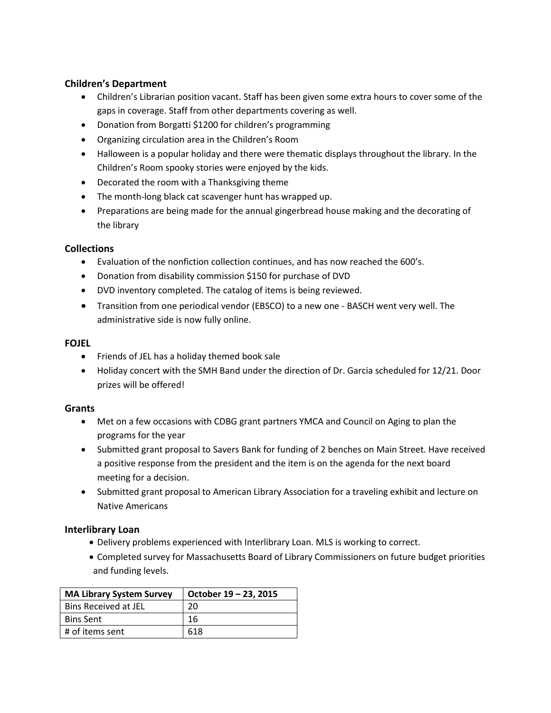### **Children's Department**

- Children's Librarian position vacant. Staff has been given some extra hours to cover some of the gaps in coverage. Staff from other departments covering as well.
- Donation from Borgatti \$1200 for children's programming
- Organizing circulation area in the Children's Room
- Halloween is a popular holiday and there were thematic displays throughout the library. In the Children's Room spooky stories were enjoyed by the kids.
- Decorated the room with a Thanksgiving theme
- The month-long black cat scavenger hunt has wrapped up.
- Preparations are being made for the annual gingerbread house making and the decorating of the library

#### **Collections**

- Evaluation of the nonfiction collection continues, and has now reached the 600's.
- Donation from disability commission \$150 for purchase of DVD
- DVD inventory completed. The catalog of items is being reviewed.
- Transition from one periodical vendor (EBSCO) to a new one BASCH went very well. The administrative side is now fully online.

#### **FOJEL**

- Friends of JEL has a holiday themed book sale
- Holiday concert with the SMH Band under the direction of Dr. Garcia scheduled for 12/21. Door prizes will be offered!

#### **Grants**

- Met on a few occasions with CDBG grant partners YMCA and Council on Aging to plan the programs for the year
- Submitted grant proposal to Savers Bank for funding of 2 benches on Main Street. Have received a positive response from the president and the item is on the agenda for the next board meeting for a decision.
- Submitted grant proposal to American Library Association for a traveling exhibit and lecture on Native Americans

#### **Interlibrary Loan**

- Delivery problems experienced with Interlibrary Loan. MLS is working to correct.
- Completed survey for Massachusetts Board of Library Commissioners on future budget priorities and funding levels.

| <b>MA Library System Survey</b> | October 19 – 23, 2015 |  |
|---------------------------------|-----------------------|--|
| <b>Bins Received at JEL</b>     | 20                    |  |
| <b>Bins Sent</b>                | 16                    |  |
| # of items sent                 | 618                   |  |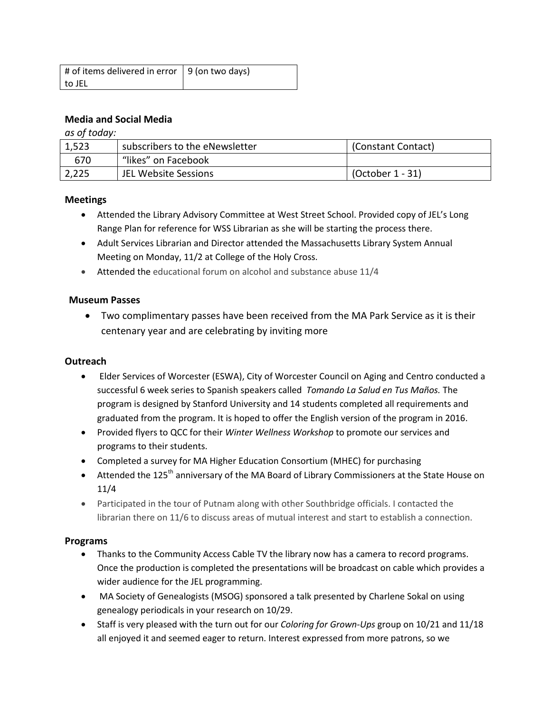| # of items delivered in error   9 (on two days) |  |  |
|-------------------------------------------------|--|--|
| to JEL                                          |  |  |

### **Media and Social Media**

*as of today:*

| 1,523 | subscribers to the eNewsletter | (Constant Contact) |
|-------|--------------------------------|--------------------|
| 670   | "likes" on Facebook            |                    |
| 2,225 | JEL Website Sessions           | (October 1 - 31)   |

#### **Meetings**

- Attended the Library Advisory Committee at West Street School. Provided copy of JEL's Long Range Plan for reference for WSS Librarian as she will be starting the process there.
- Adult Services Librarian and Director attended the Massachusetts Library System Annual Meeting on Monday, 11/2 at College of the Holy Cross.
- Attended the educational forum on alcohol and substance abuse 11/4

#### **Museum Passes**

 Two complimentary passes have been received from the MA Park Service as it is their centenary year and are celebrating by inviting more

#### **Outreach**

- Elder Services of Worcester (ESWA), City of Worcester Council on Aging and Centro conducted a successful 6 week series to Spanish speakers called *Tomando La Salud en Tus Maños.* The program is designed by Stanford University and 14 students completed all requirements and graduated from the program. It is hoped to offer the English version of the program in 2016.
- Provided flyers to QCC for their *Winter Wellness Workshop* to promote our services and programs to their students.
- Completed a survey for MA Higher Education Consortium (MHEC) for purchasing
- Attended the 125<sup>th</sup> anniversary of the MA Board of Library Commissioners at the State House on 11/4
- Participated in the tour of Putnam along with other Southbridge officials. I contacted the librarian there on 11/6 to discuss areas of mutual interest and start to establish a connection.

#### **Programs**

- Thanks to the Community Access Cable TV the library now has a camera to record programs. Once the production is completed the presentations will be broadcast on cable which provides a wider audience for the JEL programming.
- MA Society of Genealogists (MSOG) sponsored a talk presented by Charlene Sokal on using genealogy periodicals in your research on 10/29.
- Staff is very pleased with the turn out for our *Coloring for Grown-Ups* group on 10/21 and 11/18 all enjoyed it and seemed eager to return. Interest expressed from more patrons, so we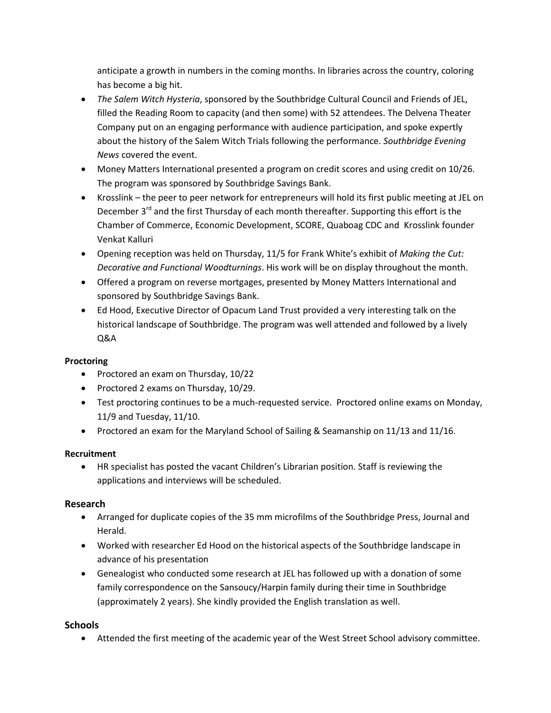anticipate a growth in numbers in the coming months. In libraries across the country, coloring has become a big hit.

- *The Salem Witch Hysteria*, sponsored by the Southbridge Cultural Council and Friends of JEL, filled the Reading Room to capacity (and then some) with 52 attendees. The Delvena Theater Company put on an engaging performance with audience participation, and spoke expertly about the history of the Salem Witch Trials following the performance. *Southbridge Evening News* covered the event.
- Money Matters International presented a program on credit scores and using credit on 10/26. The program was sponsored by Southbridge Savings Bank.
- Krosslink the peer to peer network for entrepreneurs will hold its first public meeting at JEL on December 3<sup>rd</sup> and the first Thursday of each month thereafter. Supporting this effort is the Chamber of Commerce, Economic Development, SCORE, Quaboag CDC and Krosslink founder Venkat Kalluri
- Opening reception was held on Thursday, 11/5 for Frank White's exhibit of *Making the Cut: Decorative and Functional Woodturnings*. His work will be on display throughout the month.
- Offered a program on reverse mortgages, presented by Money Matters International and sponsored by Southbridge Savings Bank.
- Ed Hood, Executive Director of Opacum Land Trust provided a very interesting talk on the historical landscape of Southbridge. The program was well attended and followed by a lively Q&A

# **Proctoring**

- Proctored an exam on Thursday, 10/22
- Proctored 2 exams on Thursday, 10/29.
- Test proctoring continues to be a much-requested service. Proctored online exams on Monday, 11/9 and Tuesday, 11/10.
- Proctored an exam for the Maryland School of Sailing & Seamanship on 11/13 and 11/16.

# **Recruitment**

 HR specialist has posted the vacant Children's Librarian position. Staff is reviewing the applications and interviews will be scheduled.

# **Research**

- Arranged for duplicate copies of the 35 mm microfilms of the Southbridge Press, Journal and Herald.
- Worked with researcher Ed Hood on the historical aspects of the Southbridge landscape in advance of his presentation
- Genealogist who conducted some research at JEL has followed up with a donation of some family correspondence on the Sansoucy/Harpin family during their time in Southbridge (approximately 2 years). She kindly provided the English translation as well.

### **Schools**

Attended the first meeting of the academic year of the West Street School advisory committee.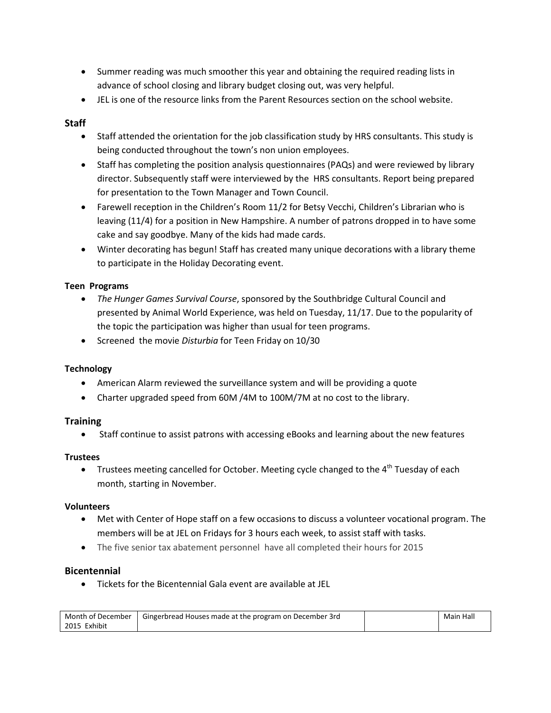- Summer reading was much smoother this year and obtaining the required reading lists in advance of school closing and library budget closing out, was very helpful.
- JEL is one of the resource links from the Parent Resources section on the school website.

# **Staff**

- Staff attended the orientation for the job classification study by HRS consultants. This study is being conducted throughout the town's non union employees.
- Staff has completing the position analysis questionnaires (PAQs) and were reviewed by library director. Subsequently staff were interviewed by the HRS consultants. Report being prepared for presentation to the Town Manager and Town Council.
- Farewell reception in the Children's Room 11/2 for Betsy Vecchi, Children's Librarian who is leaving (11/4) for a position in New Hampshire. A number of patrons dropped in to have some cake and say goodbye. Many of the kids had made cards.
- Winter decorating has begun! Staff has created many unique decorations with a library theme to participate in the Holiday Decorating event.

### **Teen Programs**

- *The Hunger Games Survival Course*, sponsored by the Southbridge Cultural Council and presented by Animal World Experience, was held on Tuesday, 11/17. Due to the popularity of the topic the participation was higher than usual for teen programs.
- Screened the movie *Disturbia* for Teen Friday on 10/30

### **Technology**

- American Alarm reviewed the surveillance system and will be providing a quote
- Charter upgraded speed from 60M /4M to 100M/7M at no cost to the library.

### **Training**

Staff continue to assist patrons with accessing eBooks and learning about the new features

#### **Trustees**

Trustees meeting cancelled for October. Meeting cycle changed to the  $4<sup>th</sup>$  Tuesday of each month, starting in November.

#### **Volunteers**

- Met with Center of Hope staff on a few occasions to discuss a volunteer vocational program. The members will be at JEL on Fridays for 3 hours each week, to assist staff with tasks.
- The five senior tax abatement personnel have all completed their hours for 2015

### **Bicentennial**

Tickets for the Bicentennial Gala event are available at JEL

| Month of December | <b>Gingerbread Houses made at the program on December 3rd</b> | Main Hall |
|-------------------|---------------------------------------------------------------|-----------|
| 2015 Exhibit      |                                                               |           |